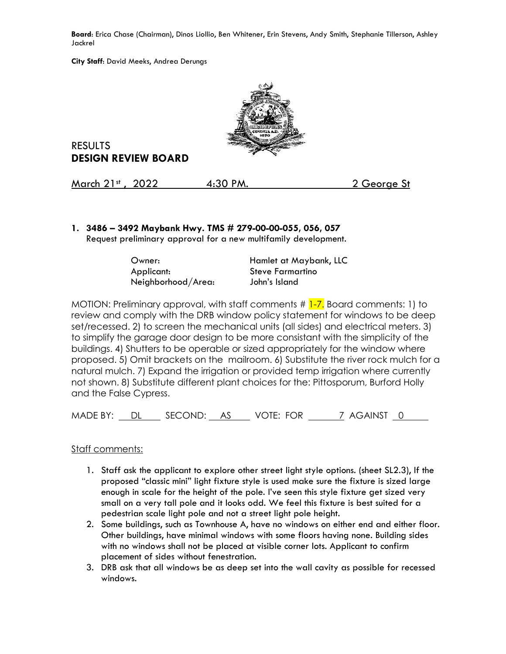**Board**: Erica Chase (Chairman), Dinos Liollio, Ben Whitener, Erin Stevens, Andy Smith, Stephanie Tillerson, Ashley Jackrel

**City Staff**: David Meeks, Andrea Derungs



RESULTS **DESIGN REVIEW BOARD**

March 21st, 2022 4:30 PM. 2 George St

**1. 3486 – 3492 Maybank Hwy. TMS # 279-00-00-055, 056, 057**  Request preliminary approval for a new multifamily development.

| Owner:             | Hamlet at Maybank, LLC |
|--------------------|------------------------|
| Applicant:         | Steve Farmartino       |
| Neighborhood/Area: | John's Island          |

MOTION: Preliminary approval, with staff comments # 1-7. Board comments: 1) to review and comply with the DRB window policy statement for windows to be deep set/recessed. 2) to screen the mechanical units (all sides) and electrical meters. 3) to simplify the garage door design to be more consistant with the simplicity of the buildings. 4) Shutters to be operable or sized appropriately for the window where proposed. 5) Omit brackets on the mailroom. 6) Substitute the river rock mulch for a natural mulch. 7) Expand the irrigation or provided temp irrigation where currently not shown. 8) Substitute different plant choices for the: Pittosporum, Burford Holly and the False Cypress.

MADE BY: DL SECOND: AS VOTE: FOR 7 AGAINST 0

## Staff comments:

- 1. Staff ask the applicant to explore other street light style options. (sheet SL2.3), If the proposed "classic mini" light fixture style is used make sure the fixture is sized large enough in scale for the height of the pole. I've seen this style fixture get sized very small on a very tall pole and it looks odd. We feel this fixture is best suited for a pedestrian scale light pole and not a street light pole height.
- 2. Some buildings, such as Townhouse A, have no windows on either end and either floor. Other buildings, have minimal windows with some floors having none. Building sides with no windows shall not be placed at visible corner lots. Applicant to confirm placement of sides without fenestration.
- 3. DRB ask that all windows be as deep set into the wall cavity as possible for recessed windows.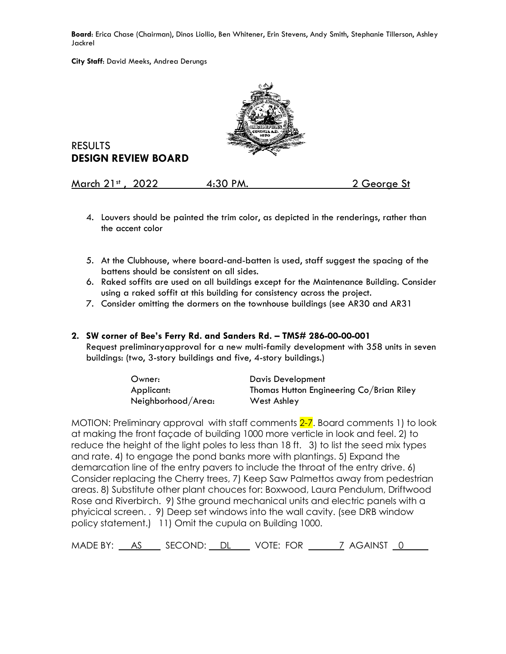**Board**: Erica Chase (Chairman), Dinos Liollio, Ben Whitener, Erin Stevens, Andy Smith, Stephanie Tillerson, Ashley Jackrel

**City Staff**: David Meeks, Andrea Derungs



RESULTS **DESIGN REVIEW BOARD**

March 21st, 2022 4:30 PM. 2 George St

- 4. Louvers should be painted the trim color, as depicted in the renderings, rather than the accent color
- 5. At the Clubhouse, where board-and-batten is used, staff suggest the spacing of the battens should be consistent on all sides.
- 6. Raked soffits are used on all buildings except for the Maintenance Building. Consider using a raked soffit at this building for consistency across the project.
- 7. Consider omitting the dormers on the townhouse buildings (see AR30 and AR31
- **2. SW corner of Bee's Ferry Rd. and Sanders Rd. TMS# 286-00-00-001** Request preliminaryapproval for a new multi-family development with 358 units in seven

buildings: (two, 3-story buildings and five, 4-story buildings.)

| Owner:             | Davis Development                        |
|--------------------|------------------------------------------|
| Applicant:         | Thomas Hutton Engineering Co/Brian Riley |
| Neighborhood/Area: | West Ashley                              |

MOTION: Preliminary approval with staff comments 2-7. Board comments 1) to look at making the front façade of building 1000 more verticle in look and feel. 2) to reduce the height of the light poles to less than 18 ft. 3) to list the seed mix types and rate. 4) to engage the pond banks more with plantings. 5) Expand the demarcation line of the entry pavers to include the throat of the entry drive. 6) Consider replacing the Cherry trees, 7) Keep Saw Palmettos away from pedestrian areas. 8) Substitute other plant chouces for: Boxwood, Laura Pendulum, Driftwood Rose and Riverbirch. 9) Sthe ground mechanical units and electric panels with a phyicical screen. . 9) Deep set windows into the wall cavity. (see DRB window policy statement.) 11) Omit the cupula on Building 1000.

MADE BY: <u>AS</u> SECOND: DL VOTE: FOR 7 AGAINST 0